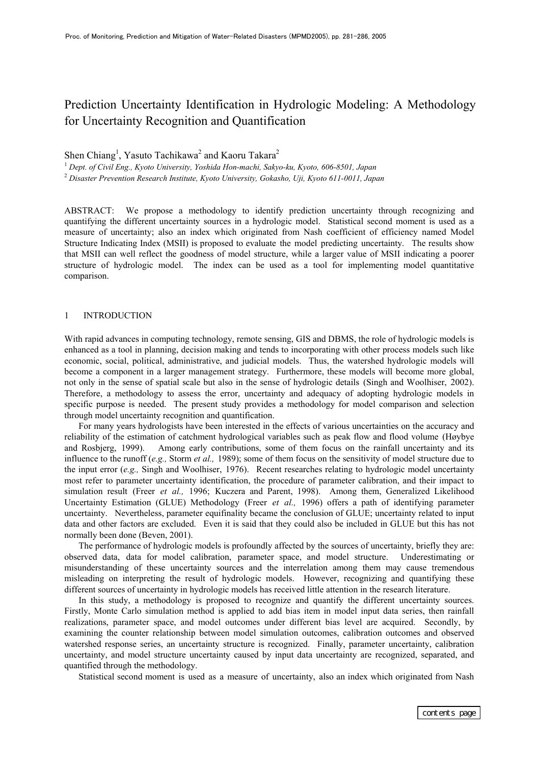# Prediction Uncertainty Identification in Hydrologic Modeling: A Methodology for Uncertainty Recognition and Quantification

# Shen Chiang<sup>1</sup>, Yasuto Tachikawa<sup>2</sup> and Kaoru Takara<sup>2</sup>

1  *Dept. of Civil Eng., Kyoto University, Yoshida Hon-machi, Sakyo-ku, Kyoto, 606-8501, Japan* <sup>2</sup> *Disaster Prevention Research Institute, Kyoto University, Gokasho, Uji, Kyoto 611-0011, Japan* 

ABSTRACT: We propose a methodology to identify prediction uncertainty through recognizing and quantifying the different uncertainty sources in a hydrologic model. Statistical second moment is used as a measure of uncertainty; also an index which originated from Nash coefficient of efficiency named Model Structure Indicating Index (MSII) is proposed to evaluate the model predicting uncertainty. The results show that MSII can well reflect the goodness of model structure, while a larger value of MSII indicating a poorer structure of hydrologic model. The index can be used as a tool for implementing model quantitative comparison.

#### 1 INTRODUCTION

With rapid advances in computing technology, remote sensing, GIS and DBMS, the role of hydrologic models is enhanced as a tool in planning, decision making and tends to incorporating with other process models such like economic, social, political, administrative, and judicial models. Thus, the watershed hydrologic models will become a component in a larger management strategy. Furthermore, these models will become more global, not only in the sense of spatial scale but also in the sense of hydrologic details (Singh and Woolhiser, 2002). Therefore, a methodology to assess the error, uncertainty and adequacy of adopting hydrologic models in specific purpose is needed. The present study provides a methodology for model comparison and selection through model uncertainty recognition and quantification.

For many years hydrologists have been interested in the effects of various uncertainties on the accuracy and reliability of the estimation of catchment hydrological variables such as peak flow and flood volume (Høybye and Rosbjerg, 1999). Among early contributions, some of them focus on the rainfall uncertainty and its influence to the runoff (*e.g.,* Storm *et al.,* 1989); some of them focus on the sensitivity of model structure due to the input error (*e.g.,* Singh and Woolhiser, 1976). Recent researches relating to hydrologic model uncertainty most refer to parameter uncertainty identification, the procedure of parameter calibration, and their impact to simulation result (Freer *et al.,* 1996; Kuczera and Parent, 1998). Among them, Generalized Likelihood Uncertainty Estimation (GLUE) Methodology (Freer *et al.,* 1996) offers a path of identifying parameter uncertainty. Nevertheless, parameter equifinality became the conclusion of GLUE; uncertainty related to input data and other factors are excluded. Even it is said that they could also be included in GLUE but this has not normally been done (Beven, 2001).

The performance of hydrologic models is profoundly affected by the sources of uncertainty, briefly they are: observed data, data for model calibration, parameter space, and model structure. Underestimating or misunderstanding of these uncertainty sources and the interrelation among them may cause tremendous misleading on interpreting the result of hydrologic models. However, recognizing and quantifying these different sources of uncertainty in hydrologic models has received little attention in the research literature.

In this study, a methodology is proposed to recognize and quantify the different uncertainty sources. Firstly, Monte Carlo simulation method is applied to add bias item in model input data series, then rainfall realizations, parameter space, and model outcomes under different bias level are acquired. Secondly, by examining the counter relationship between model simulation outcomes, calibration outcomes and observed watershed response series, an uncertainty structure is recognized. Finally, parameter uncertainty, calibration uncertainty, and model structure uncertainty caused by input data uncertainty are recognized, separated, and quantified through the methodology.

Statistical second moment is used as a measure of uncertainty, also an index which originated from Nash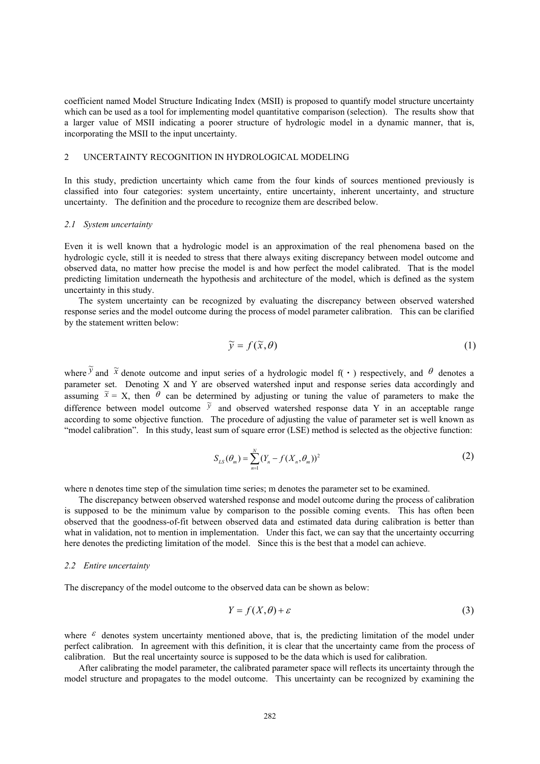coefficient named Model Structure Indicating Index (MSII) is proposed to quantify model structure uncertainty which can be used as a tool for implementing model quantitative comparison (selection). The results show that a larger value of MSII indicating a poorer structure of hydrologic model in a dynamic manner, that is, incorporating the MSII to the input uncertainty.

# 2 UNCERTAINTY RECOGNITION IN HYDROLOGICAL MODELING

In this study, prediction uncertainty which came from the four kinds of sources mentioned previously is classified into four categories: system uncertainty, entire uncertainty, inherent uncertainty, and structure uncertainty. The definition and the procedure to recognize them are described below.

#### *2.1 System uncertainty*

Even it is well known that a hydrologic model is an approximation of the real phenomena based on the hydrologic cycle, still it is needed to stress that there always exiting discrepancy between model outcome and observed data, no matter how precise the model is and how perfect the model calibrated. That is the model predicting limitation underneath the hypothesis and architecture of the model, which is defined as the system uncertainty in this study.

The system uncertainty can be recognized by evaluating the discrepancy between observed watershed response series and the model outcome during the process of model parameter calibration. This can be clarified by the statement written below:

$$
\widetilde{\mathbf{y}} = f(\widetilde{\mathbf{x}}, \theta) \tag{1}
$$

where  $\tilde{y}$  and  $\tilde{x}$  denote outcome and input series of a hydrologic model f( · ) respectively, and  $\theta$  denotes a parameter set. Denoting X and Y are observed watershed input and response series data accordingly and assuming  $\tilde{x} = X$ , then  $\theta$  can be determined by adjusting or tuning the value of parameters to make the difference between model outcome  $\tilde{y}$  and observed watershed response data Y in an acceptable range according to some objective function. The procedure of adjusting the value of parameter set is well known as "model calibration". In this study, least sum of square error (LSE) method is selected as the objective function:

$$
S_{LS}(\theta_m) = \sum_{n=1}^{N} (Y_n - f(X_n, \theta_m))^2
$$
 (2)

where n denotes time step of the simulation time series; m denotes the parameter set to be examined.

The discrepancy between observed watershed response and model outcome during the process of calibration is supposed to be the minimum value by comparison to the possible coming events. This has often been observed that the goodness-of-fit between observed data and estimated data during calibration is better than what in validation, not to mention in implementation. Under this fact, we can say that the uncertainty occurring here denotes the predicting limitation of the model. Since this is the best that a model can achieve.

#### *2.2 Entire uncertainty*

The discrepancy of the model outcome to the observed data can be shown as below:

$$
Y = f(X, \theta) + \varepsilon \tag{3}
$$

where  $\epsilon$  denotes system uncertainty mentioned above, that is, the predicting limitation of the model under perfect calibration. In agreement with this definition, it is clear that the uncertainty came from the process of calibration. But the real uncertainty source is supposed to be the data which is used for calibration.

After calibrating the model parameter, the calibrated parameter space will reflects its uncertainty through the model structure and propagates to the model outcome. This uncertainty can be recognized by examining the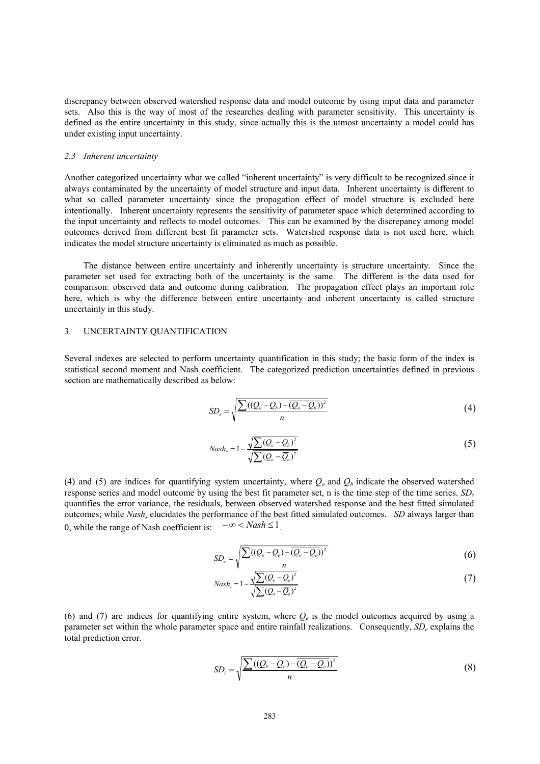discrepancy between observed watershed response data and model outcome by using input data and parameter sets. Also this is the way of most of the researches dealing with parameter sensitivity. This uncertainty is defined as the entire uncertainty in this study, since actually this is the utmost uncertainty a model could has under existing input uncertainty.

#### *2.3 Inherent uncertainty*

Another categorized uncertainty what we called "inherent uncertainty" is very difficult to be recognized since it always contaminated by the uncertainty of model structure and input data. Inherent uncertainty is different to what so called parameter uncertainty since the propagation effect of model structure is excluded here intentionally. Inherent uncertainty represents the sensitivity of parameter space which determined according to the input uncertainty and reflects to model outcomes. This can be examined by the discrepancy among model outcomes derived from different best fit parameter sets. Watershed response data is not used here, which indicates the model structure uncertainty is eliminated as much as possible.

The distance between entire uncertainty and inherently uncertainty is structure uncertainty. Since the parameter set used for extracting both of the uncertainty is the same. The different is the data used for comparison: observed data and outcome during calibration. The propagation effect plays an important role here, which is why the difference between entire uncertainty and inherent uncertainty is called structure uncertainty in this study.

# 3 UNCERTAINTY QUANTIFICATION

Several indexes are selected to perform uncertainty quantification in this study; the basic form of the index is statistical second moment and Nash coefficient. The categorized prediction uncertainties defined in previous section are mathematically described as below:

$$
SD_s = \sqrt{\frac{\sum ((Q_o - Q_b) - \overline{(Q_o - Q_b)})^2}{n}} \tag{4}
$$

$$
Nash_s = 1 - \frac{\sqrt{\sum (Q_o - Q_b)^2}}{\sqrt{\sum (Q_o - \overline{Q}_o)^2}}
$$
\n
$$
(5)
$$

(4) and (5) are indices for quantifying system uncertainty, where  $Q<sub>o</sub>$  and  $Q<sub>b</sub>$  indicate the observed watershed response series and model outcome by using the best fit parameter set, n is the time step of the time series. *SDs* quantifies the error variance, the residuals, between observed watershed response and the best fitted simulated outcomes; while *Nashs* elucidates the performance of the best fitted simulated outcomes. *SD* always larger than 0, while the range of Nash coefficient is: − ∞ < *Nash* ≤ 1.

$$
SD_e = \sqrt{\frac{\sum ((Q_o - Q_e) - \overline{(Q_o - Q_e)})^2}{n}}
$$
(6)

$$
Nash_e = 1 - \frac{\sqrt{\sum (Q_o - Q_e)^2}}{\sqrt{\sum (Q_o - \overline{Q}_o)^2}}
$$
\n
$$
(7)
$$

(6) and (7) are indices for quantifying entire system, where  $Q_e$  is the model outcomes acquired by using a parameter set within the whole parameter space and entire rainfall realizations. Consequently, *SDe* explains the total prediction error.

$$
SD_i = \sqrt{\frac{\sum ((Q_b - Q_e) - \overline{(Q_b - Q_e)})^2}{n}}
$$
(8)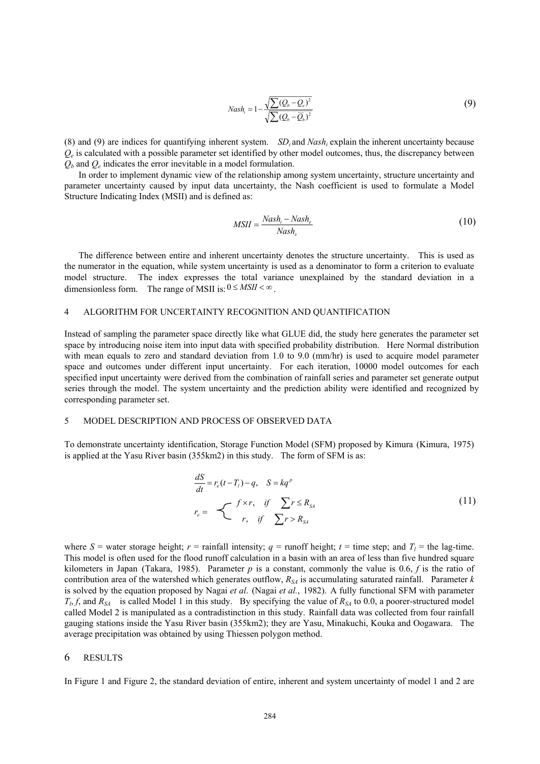$$
Nash_i = 1 - \frac{\sqrt{\sum (Q_b - Q_e)^2}}{\sqrt{\sum (Q_b - \overline{Q}_b)^2}}
$$
\n(9)

(8) and (9) are indices for quantifying inherent system. *SDi* and *Nashi* explain the inherent uncertainty because  $Q_e$  is calculated with a possible parameter set identified by other model outcomes, thus, the discrepancy between  $Q_b$  and  $Q_e$  indicates the error inevitable in a model formulation.

In order to implement dynamic view of the relationship among system uncertainty, structure uncertainty and parameter uncertainty caused by input data uncertainty, the Nash coefficient is used to formulate a Model Structure Indicating Index (MSII) and is defined as:

$$
MSII = \frac{Nash_i - Nash_e}{Nash_s}
$$
\n(10)

The difference between entire and inherent uncertainty denotes the structure uncertainty. This is used as the numerator in the equation, while system uncertainty is used as a denominator to form a criterion to evaluate model structure. The index expresses the total variance unexplained by the standard deviation in a dimensionless form. The range of MSII is:  $0 \leq MST < \infty$ .

# 4 ALGORITHM FOR UNCERTAINTY RECOGNITION AND QUANTIFICATION

Instead of sampling the parameter space directly like what GLUE did, the study here generates the parameter set space by introducing noise item into input data with specified probability distribution. Here Normal distribution with mean equals to zero and standard deviation from 1.0 to 9.0 (mm/hr) is used to acquire model parameter space and outcomes under different input uncertainty. For each iteration, 10000 model outcomes for each specified input uncertainty were derived from the combination of rainfall series and parameter set generate output series through the model. The system uncertainty and the prediction ability were identified and recognized by corresponding parameter set.

# 5 MODEL DESCRIPTION AND PROCESS OF OBSERVED DATA

To demonstrate uncertainty identification, Storage Function Model (SFM) proposed by Kimura (Kimura, 1975) is applied at the Yasu River basin (355km2) in this study. The form of SFM is as:

$$
\frac{dS}{dt} = r_e(t - T_i) - q, \quad S = kq^p
$$
\n
$$
r_e = \begin{cases} f \times r, & \text{if } \sum r \le R_{SA} \\ r, & \text{if } \sum r > R_{SA} \end{cases}
$$
\n(11)

where  $S$  = water storage height;  $r$  = rainfall intensity;  $q$  = runoff height;  $t$  = time step; and  $T_l$  = the lag-time. This model is often used for the flood runoff calculation in a basin with an area of less than five hundred square kilometers in Japan (Takara, 1985). Parameter *p* is a constant, commonly the value is 0.6, *f* is the ratio of contribution area of the watershed which generates outflow,  $R_{SA}$  is accumulating saturated rainfall. Parameter  $k$ is solved by the equation proposed by Nagai *et al*. (Nagai *et al.*, 1982). A fully functional SFM with parameter  $T<sub>1</sub>$ , *f*, and  $R<sub>SA</sub>$  is called Model 1 in this study. By specifying the value of  $R<sub>SA</sub>$  to 0.0, a poorer-structured model called Model 2 is manipulated as a contradistinction in this study. Rainfall data was collected from four rainfall gauging stations inside the Yasu River basin (355km2); they are Yasu, Minakuchi, Kouka and Oogawara. The average precipitation was obtained by using Thiessen polygon method.

### 6 RESULTS

In Figure 1 and Figure 2, the standard deviation of entire, inherent and system uncertainty of model 1 and 2 are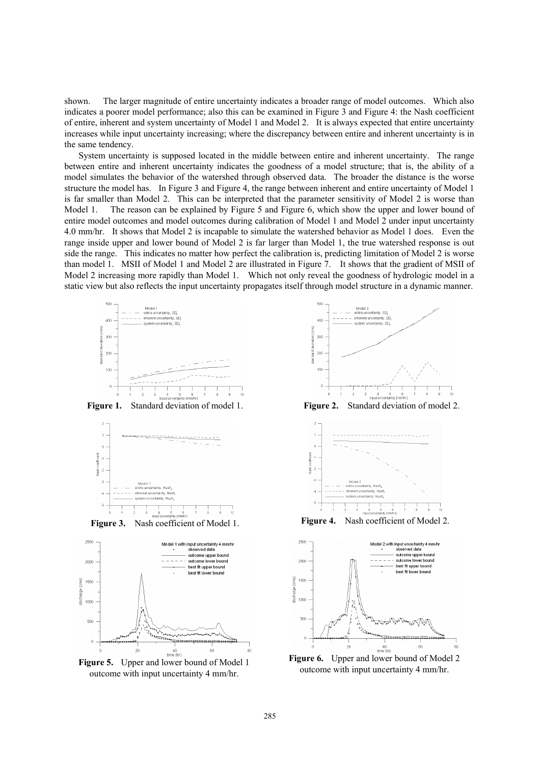shown. The larger magnitude of entire uncertainty indicates a broader range of model outcomes. Which also indicates a poorer model performance; also this can be examined in Figure 3 and Figure 4: the Nash coefficient of entire, inherent and system uncertainty of Model 1 and Model 2. It is always expected that entire uncertainty increases while input uncertainty increasing; where the discrepancy between entire and inherent uncertainty is in the same tendency.

System uncertainty is supposed located in the middle between entire and inherent uncertainty. The range between entire and inherent uncertainty indicates the goodness of a model structure; that is, the ability of a model simulates the behavior of the watershed through observed data. The broader the distance is the worse structure the model has. In Figure 3 and Figure 4, the range between inherent and entire uncertainty of Model 1 is far smaller than Model 2. This can be interpreted that the parameter sensitivity of Model 2 is worse than Model 1. The reason can be explained by Figure 5 and Figure 6, which show the upper and lower bound of entire model outcomes and model outcomes during calibration of Model 1 and Model 2 under input uncertainty 4.0 mm/hr. It shows that Model 2 is incapable to simulate the watershed behavior as Model 1 does. Even the range inside upper and lower bound of Model 2 is far larger than Model 1, the true watershed response is out side the range. This indicates no matter how perfect the calibration is, predicting limitation of Model 2 is worse than model 1. MSII of Model 1 and Model 2 are illustrated in Figure 7. It shows that the gradient of MSII of Model 2 increasing more rapidly than Model 1. Which not only reveal the goodness of hydrologic model in a static view but also reflects the input uncertainty propagates itself through model structure in a dynamic manner.



**Figure 5.** Upper and lower bound of Model 1 outcome with input uncertainty 4 mm/hr.

 $40$ <br>time (hr)

.<br>\*\*\*\*\*\*\*\*\*\*\*\*\*\*\*\*\*\*\*\*\*\*\*\*\*\*\*

60

verteeren

20







**Figure 6.** Upper and lower bound of Model 2 outcome with input uncertainty 4 mm/hr.